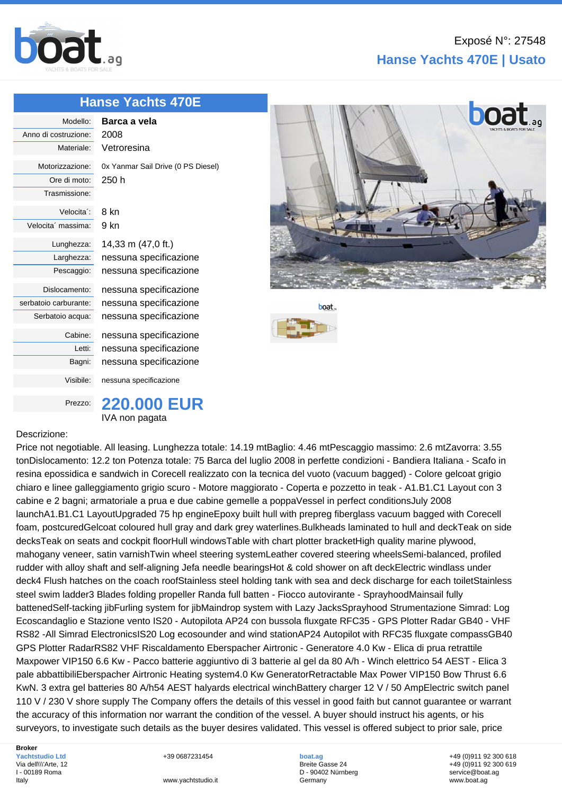

## **[Hanse](http://www.boat.ag/) Yachts 470E**

| Modello:              | Barca a vela                       |
|-----------------------|------------------------------------|
| Anno di costruzione:  | 2008                               |
| Materiale:            | Vetroresina                        |
| Motorizzazione:       | 0x Yanmar Sail Drive (0 PS Diesel) |
| Ore di moto:          | 250 h                              |
| Trasmissione:         |                                    |
| Velocita':            | 8 kn                               |
| Velocita' massima:    | 9 kn                               |
| Lunghezza:            | 14,33 m (47,0 ft.)                 |
| Larghezza:            | nessuna specificazione             |
| Pescaggio:            | nessuna specificazione             |
| Dislocamento:         | nessuna specificazione             |
| serbatoio carburante: | nessuna specificazione             |
| Serbatoio acqua:      | nessuna specificazione             |
| Cabine:               | nessuna specificazione             |
| Letti:                | nessuna specificazione             |
| Bagni:                | nessuna specificazione             |
| Visibile:             | nessuna specificazione             |
|                       |                                    |



## **boat**



## Descrizione:

Price not negotiable. All leasing. Lunghezza totale: 14.19 mtBaglio: 4.46 mtPescaggio massimo: 2.6 mtZavorra: 3.55 tonDislocamento: 12.2 ton Potenza totale: 75 Barca del luglio 2008 in perfette condizioni - Bandiera Italiana - Scafo in resina epossidica e sandwich in Corecell realizzato con la tecnica del vuoto (vacuum bagged) - Colore gelcoat grigio chiaro e linee galleggiamento grigio scuro - Motore maggiorato - Coperta e pozzetto in teak - A1.B1.C1 Layout con 3 cabine e 2 bagni; armatoriale a prua e due cabine gemelle a poppaVessel in perfect conditionsJuly 2008 launchA1.B1.C1 LayoutUpgraded 75 hp engineEpoxy built hull with prepreg fiberglass vacuum bagged with Corecell foam, postcuredGelcoat coloured hull gray and dark grey waterlines.Bulkheads laminated to hull and deckTeak on side decksTeak on seats and cockpit floorHull windowsTable with chart plotter bracketHigh quality marine plywood, mahogany veneer, satin varnishTwin wheel steering systemLeather covered steering wheelsSemi-balanced, profiled rudder with alloy shaft and self-aligning Jefa needle bearingsHot & cold shower on aft deckElectric windlass under deck4 Flush hatches on the coach roofStainless steel holding tank with sea and deck discharge for each toiletStainless steel swim ladder3 Blades folding propeller Randa full batten - Fiocco autovirante - SprayhoodMainsail fully battenedSelf-tacking jibFurling system for jibMaindrop system with Lazy JacksSprayhood Strumentazione Simrad: Log Ecoscandaglio e Stazione vento IS20 - Autopilota AP24 con bussola fluxgate RFC35 - GPS Plotter Radar GB40 - VHF RS82 -All Simrad ElectronicsIS20 Log ecosounder and wind stationAP24 Autopilot with RFC35 fluxgate compassGB40 GPS Plotter RadarRS82 VHF Riscaldamento Eberspacher Airtronic - Generatore 4.0 Kw - Elica di prua retrattile Maxpower VIP150 6.6 Kw - Pacco batterie aggiuntivo di 3 batterie al gel da 80 A/h - Winch elettrico 54 AEST - Elica 3 pale abbattibiliEberspacher Airtronic Heating system4.0 Kw GeneratorRetractable Max Power VIP150 Bow Thrust 6.6 KwN. 3 extra gel batteries 80 A/h54 AEST halyards electrical winchBattery charger 12 V / 50 AmpElectric switch panel 110 V / 230 V shore supply The Company offers the details of this vessel in good faith but cannot guarantee or warrant the accuracy of this information nor warrant the condition of the vessel. A buyer should instruct his agents, or his surveyors, to investigate such details as the buyer desires validated. This vessel is offered subject to prior sale, price

**Broker Yachtstudio Ltd** Via dell\\\'Arte, 12 I - 00189 Roma Italy

+39 0687231454

**boat.ag** Breite Gasse 24 D - 90402 Nürnberg Germany

+49 (0)911 92 300 618 +49 (0)911 92 300 619 service@boat.ag www.boat.ag

www.yachtstudio.it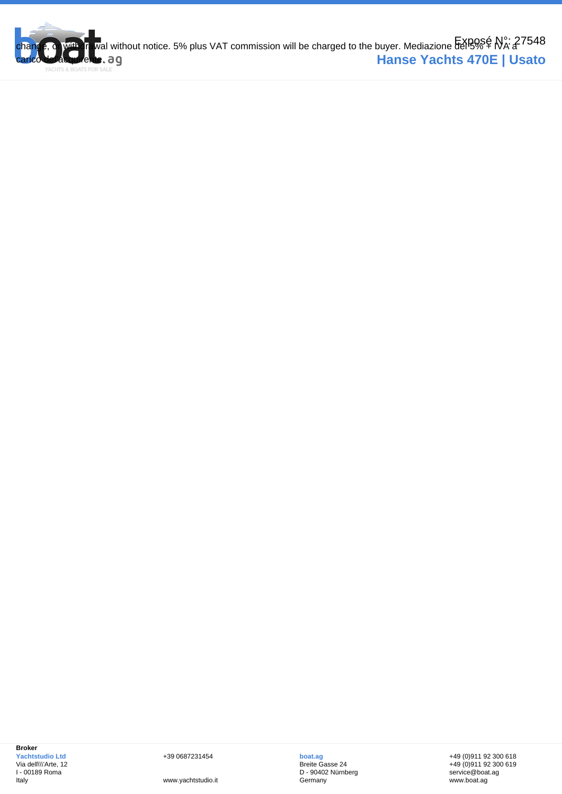

**Broker Yachtstudio Ltd** Via dell\\\'Arte, 12 I - 00189 Roma Italy

+39 0687231454

www.yachtstudio.it

**boat.ag** Breite Gasse 24 D - 90402 Nürnberg **Germany** 

+49 (0)911 92 300 618 +49 (0)911 92 300 619 service@boat.ag www.boat.ag